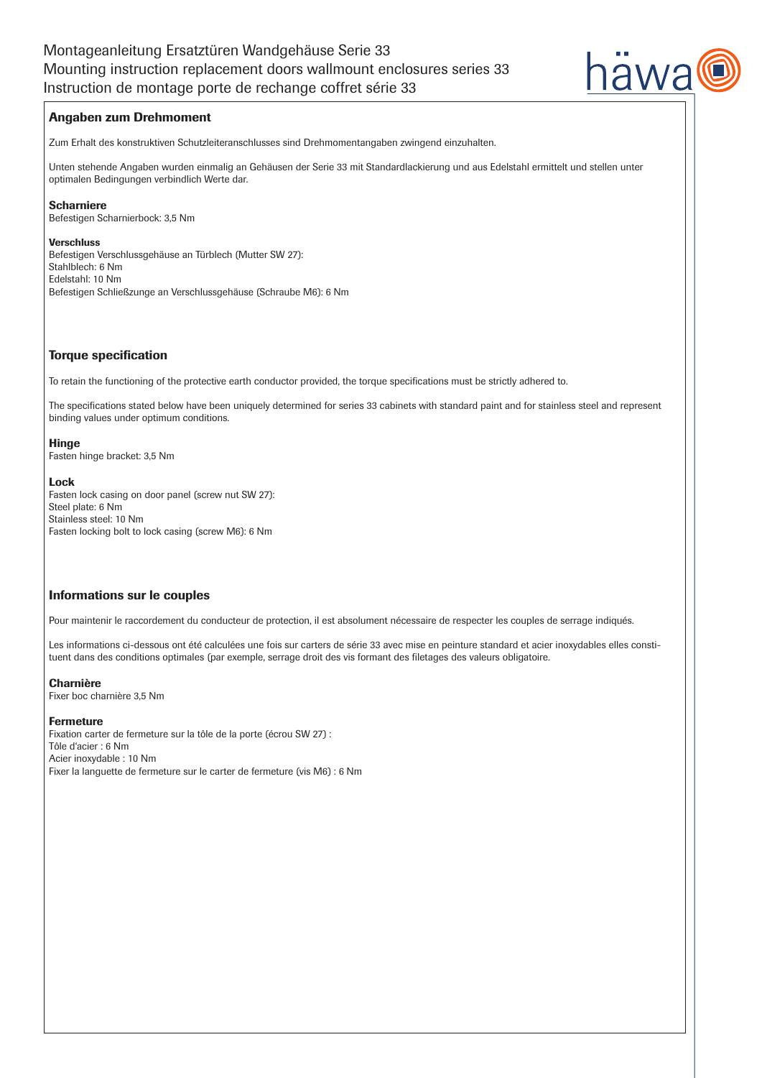

## Angaben zum Drehmoment

Zum Erhalt des konstruktiven Schutzleiteranschlusses sind Drehmomentangaben zwingend einzuhalten.

Unten stehende Angaben wurden einmalig an Gehäusen der Serie 33 mit Standardlackierung und aus Edelstahl ermittelt und stellen unter optimalen Bedingungen verbindlich Werte dar.

### Scharniere

Befestigen Scharnierbock: 3,5 Nm

#### Verschluss

Befestigen Verschlussgehäuse an Türblech (Mutter SW 27): Stahlblech: 6 Nm Edelstahl: 10 Nm Befestigen Schließzunge an Verschlussgehäuse (Schraube M6): 6 Nm

### Torque specification

To retain the functioning of the protective earth conductor provided, the torque specifications must be strictly adhered to.

The specifications stated below have been uniquely determined for series 33 cabinets with standard paint and for stainless steel and represent binding values under optimum conditions.

#### Hinge

Fasten hinge bracket: 3,5 Nm

#### Lock

Fasten lock casing on door panel (screw nut SW 27): Steel plate: 6 Nm Stainless steel: 10 Nm Fasten locking bolt to lock casing (screw M6): 6 Nm

### Informations sur le couples

Pour maintenir le raccordement du conducteur de protection, il est absolument nécessaire de respecter les couples de serrage indiqués.

Les informations ci-dessous ont été calculées une fois sur carters de série 33 avec mise en peinture standard et acier inoxydables elles constituent dans des conditions optimales (par exemple, serrage droit des vis formant des filetages des valeurs obligatoire.

### Charnière

Fixer boc charnière 3,5 Nm

### Fermeture

Fixation carter de fermeture sur la tôle de la porte (écrou SW 27) : Tôle d'acier : 6 Nm Acier inoxydable : 10 Nm Fixer la languette de fermeture sur le carter de fermeture (vis M6) : 6 Nm